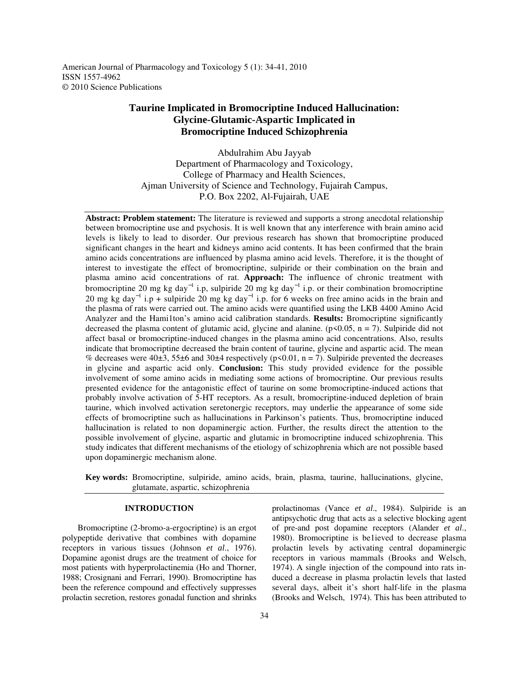American Journal of Pharmacology and Toxicology 5 (1): 34-41, 2010 ISSN 1557-4962 © 2010 Science Publications

# **Taurine Implicated in Bromocriptine Induced Hallucination: Glycine-Glutamic-Aspartic Implicated in Bromocriptine Induced Schizophrenia**

Abdulrahim Abu Jayyab Department of Pharmacology and Toxicology, College of Pharmacy and Health Sciences, Ajman University of Science and Technology, Fujairah Campus, P.O. Box 2202, Al-Fujairah, UAE

**Abstract: Problem statement:** The literature is reviewed and supports a strong anecdotal relationship between bromocriptine use and psychosis. It is well known that any interference with brain amino acid levels is likely to lead to disorder. Our previous research has shown that bromocriptine produced significant changes in the heart and kidneys amino acid contents. It has been confirmed that the brain amino acids concentrations are influenced by plasma amino acid levels. Therefore, it is the thought of interest to investigate the effect of bromocriptine, sulpiride or their combination on the brain and plasma amino acid concentrations of rat. **Approach:** The influence of chronic treatment with bromocriptine 20 mg kg day<sup>-1</sup> i.p, sulpiride 20 mg kg day<sup>-1</sup> i.p. or their combination bromocriptine 20 mg kg day<sup>-1</sup> i.p + sulpiride 20 mg kg day<sup>-1</sup> i.p. for 6 weeks on free amino acids in the brain and the plasma of rats were carried out. The amino acids were quantified using the LKB 4400 Amino Acid Analyzer and the Hami1ton's amino acid calibration standards. **Results:** Bromocriptine significantly decreased the plasma content of glutamic acid, glycine and alanine. ( $p<0.05$ ,  $n = 7$ ). Sulpiride did not affect basal or bromocriptine-induced changes in the plasma amino acid concentrations. Also, results indicate that bromocriptine decreased the brain content of taurine, glycine and aspartic acid. The mean % decreases were 40 $\pm$ 3, 55 $\pm$ 6 and 30 $\pm$ 4 respectively (p<0.01, n = 7). Sulpiride prevented the decreases in glycine and aspartic acid only. **Conclusion:** This study provided evidence for the possible involvement of some amino acids in mediating some actions of bromocriptine. Our previous results presented evidence for the antagonistic effect of taurine on some bromocriptine-induced actions that probably involve activation of 5-HT receptors. As a result, bromocriptine-induced depletion of brain taurine, which involved activation seretonergic receptors, may underlie the appearance of some side effects of bromocriptine such as hallucinations in Parkinson's patients. Thus, bromocriptine induced hallucination is related to non dopaminergic action. Further, the results direct the attention to the possible involvement of glycine, aspartic and glutamic in bromocriptine induced schizophrenia. This study indicates that different mechanisms of the etiology of schizophrenia which are not possible based upon dopaminergic mechanism alone.

**Key words:** Bromocriptine, sulpiride, amino acids, brain, plasma, taurine, hallucinations, glycine, glutamate, aspartic, schizophrenia

## **INTRODUCTION**

 Bromocriptine (2-bromo-a-ergocriptine) is an ergot polypeptide derivative that combines with dopamine receptors in various tissues (Johnson *et al*., 1976). Dopamine agonist drugs are the treatment of choice for most patients with hyperprolactinemia (Ho and Thorner, 1988; Crosignani and Ferrari, 1990). Bromocriptine has been the reference compound and effectively suppresses prolactin secretion, restores gonadal function and shrinks prolactinomas (Vance *et al*., 1984). Sulpiride is an antipsychotic drug that acts as a selective blocking agent of pre-and post dopamine receptors (Alander *et al*., 1980). Bromocriptine is be1ieved to decrease plasma prolactin levels by activating central dopaminergic receptors in various mammals (Brooks and Welsch, 1974). A single injection of the compound into rats induced a decrease in plasma prolactin levels that lasted several days, albeit it's short half-life in the plasma (Brooks and Welsch, 1974). This has been attributed to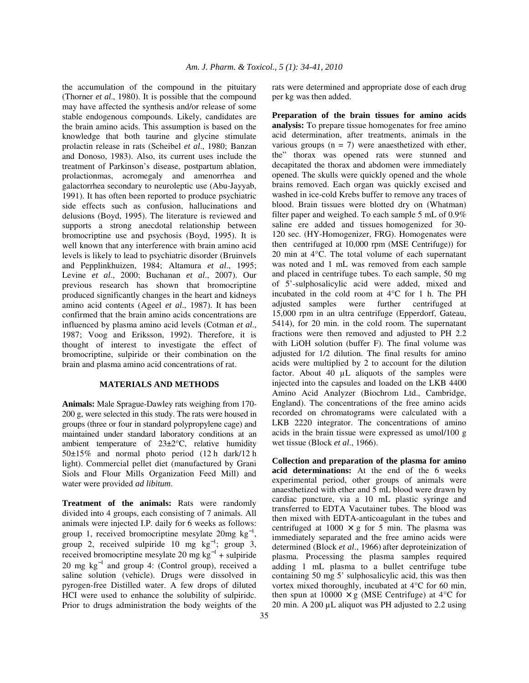the accumulation of the compound in the pituitary (Thorner *et al*., 1980). It is possible that the compound may have affected the synthesis and/or release of some stable endogenous compounds. Likely, candidates are the brain amino acids. This assumption is based on the knowledge that both taurine and glycine stimulate prolactin release in rats (Scheibel *et al*., 1980; Banzan and Donoso, 1983). Also, its current uses include the treatment of Parkinson's disease, postpartum ablation, prolactionmas, acromegaly and amenorrhea and galactorrhea secondary to neuroleptic use (Abu-Jayyab, 1991). It has often been reported to produce psychiatric side effects such as confusion, hallucinations and delusions (Boyd, 1995). The literature is reviewed and supports a strong anecdotal relationship between bromocriptine use and psychosis (Boyd, 1995). It is well known that any interference with brain amino acid levels is likely to lead to psychiatric disorder (Bruinvels and Pepplinkhuizen, 1984; Altamura *et al*., 1995; Levine *et al*., 2000; Buchanan *et al*., 2007). Our previous research has shown that bromocriptine produced significantly changes in the heart and kidneys amino acid contents (Ageel *et al*., 1987). It has been confirmed that the brain amino acids concentrations are influenced by plasma amino acid levels (Cotman *et al*., 1987; Voog and Eriksson, 1992). Therefore, it is thought of interest to investigate the effect of bromocriptine, sulpiride or their combination on the brain and plasma amino acid concentrations of rat.

### **MATERIALS AND METHODS**

**Animals:** Male Sprague-Dawley rats weighing from 170- 200 g, were selected in this study. The rats were housed in groups (three or four in standard polypropylene cage) and maintained under standard laboratory conditions at an ambient temperature of 23±2°C, relative humidity 50±15% and normal photo period (12 h dark/12 h light). Commercial pellet diet (manufactured by Grani Siols and Flour Mills Organization Feed Mill) and water were provided *ad libitum*.

**Treatment of the animals:** Rats were randomly divided into 4 groups, each consisting of 7 animals. All animals were injected I.P. daily for 6 weeks as follows: group 1, received bromocriptine mesylate  $20mg \text{ kg}^{-1}$ , group 2, received sulpiride 10 mg  $kg^{-1}$ ; group 3, received bromocriptine mesylate 20 mg  $kg^{-1}$  + sulpiride 20 mg kg<sup>-1</sup> and group 4: (Control group), received a saline solution (vehicle). Drugs were dissolved in pyrogen-free Distilled water. A few drops of diluted HCI were used to enhance the solubility of sulpiridc. Prior to drugs administration the body weights of the

rats were determined and appropriate dose of each drug per kg was then added.

**Preparation of the brain tissues for amino acids analysis:** To prepare tissue homogenates for free amino acid determination, after treatments, animals in the various groups  $(n = 7)$  were anaesthetized with ether, the" thorax was opened rats were stunned and decapitated the thorax and abdomen were immediately opened. The skulls were quickly opened and the whole brains removed. Each organ was quickly excised and washed in ice-cold Krebs buffer to remove any traces of blood. Brain tissues were blotted dry on (Whatman) filter paper and weighed. To each sample 5 mL of 0.9% saline ere added and tissues homogenized for 30- 120 sec. (HY-Homogenizer, FRG). Homogenates were then centrifuged at 10,000 rpm (MSE Centrifuge)) for 20 min at 4°C. The total volume of each supernatant was noted and 1 mL was removed from each sample and placed in centrifuge tubes. To each sample, 50 mg of 5'-sulphosalicylic acid were added, mixed and incubated in the cold room at 4°C for 1 h. The PH adjusted samples were further centrifuged at 15,000 rpm in an ultra centrifuge (Epperdorf, Gateau, 5414), for 20 min. in the cold room. The supernatant fractions were then removed and adjusted to PH 2.2 with LiOH solution (buffer F). The final volume was adjusted for 1/2 dilution. The final results for amino acids were multiplied by 2 to account for the dilution factor. About 40 µL aliquots of the samples were injected into the capsules and loaded on the LKB 4400 Amino Acid Analyzer (Biochrom Ltd., Cambridge, England). The concentrations of the free amino acids recorded on chromatograms were calculated with a LKB 2220 integrator. The concentrations of amino acids in the brain tissue were expressed as umol/100 g wet tissue (Block *et al*., 1966).

**Collection and preparation of the plasma for amino acid determinations:** At the end of the 6 weeks experimental period, other groups of animals were anaesthetized with ether and 5 mL blood were drawn by cardiac puncture, via a 10 mL plastic syringe and transferred to EDTA Vacutainer tubes. The blood was then mixed with EDTA-anticoagulant in the tubes and centrifuged at  $1000 \times g$  for 5 min. The plasma was immediately separated and the free amino acids were determined (Block *et al*., 1966) after deproteinization of plasma. Processing the plasma samples required adding 1 mL plasma to a bullet centrifuge tube containing 50 mg 5' sulphosalicylic acid, this was then vortex mixed thoroughly, incubated at 4°C for 60 min, then spun at  $10000 \times g$  (MSE Centrifuge) at 4<sup>o</sup>C for 20 min. A 200 µL aliquot was PH adjusted to 2.2 using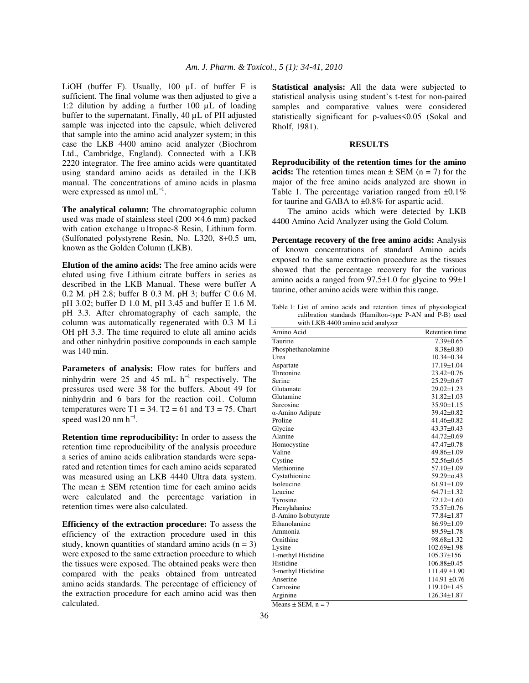LiOH (buffer F). Usually, 100 µL of buffer F is sufficient. The final volume was then adjusted to give a 1:2 dilution by adding a further 100 µL of loading buffer to the supernatant. Finally, 40 µL of PH adjusted sample was injected into the capsule, which delivered that sample into the amino acid analyzer system; in this case the LKB 4400 amino acid analyzer (Biochrom Ltd., Cambridge, England). Connected with a LKB 2220 integrator. The free amino acids were quantitated using standard amino acids as detailed in the LKB manual. The concentrations of amino acids in plasma were expressed as nmol m $L^{-1}$ .

**The analytical column:** The chromatographic column used was made of stainless steel  $(200 \times 4.6 \text{ mm})$  packed with cation exchange u1tropac-8 Resin, Lithium form. (Sulfonated polystyrene Resin, No. L320, 8+0.5 um, known as the Golden Column (LKB).

**Elution of the amino acids:** The free amino acids were eluted using five Lithium citrate buffers in series as described in the LKB Manual. These were buffer A 0.2 M. pH 2.8; buffer B 0.3 M. pH 3; buffer C 0.6 M. pH 3.02; buffer D 1.0 M, pH 3.45 and buffer E 1.6 M. pH 3.3. After chromatography of each sample, the column was automatically regenerated with 0.3 M Li OH pH 3.3. The time required to elute all amino acids and other ninhydrin positive compounds in each sample was 140 min.

**Parameters of analysis:** Flow rates for buffers and ninhydrin were 25 and 45 mL  $h^{-1}$  respectively. The pressures used were 38 for the buffers. About 49 for ninhydrin and 6 bars for the reaction coi1. Column temperatures were  $T1 = 34$ .  $T2 = 61$  and  $T3 = 75$ . Chart speed was120 nm  $h^{-1}$ .

**Retention time reproducibility:** In order to assess the retention time reproducibility of the analysis procedure a series of amino acids calibration standards were separated and retention times for each amino acids separated was measured using an LKB 4440 Ultra data system. The mean  $\pm$  SEM retention time for each amino acids were calculated and the percentage variation in retention times were also calculated.

**Efficiency of the extraction procedure:** To assess the efficiency of the extraction procedure used in this study, known quantities of standard amino acids  $(n = 3)$ were exposed to the same extraction procedure to which the tissues were exposed. The obtained peaks were then compared with the peaks obtained from untreated amino acids standards. The percentage of efficiency of the extraction procedure for each amino acid was then calculated.

**Statistical analysis:** All the data were subjected to statistical analysis using student's t-test for non-paired samples and comparative values were considered statistically significant for p-values<0.05 (Sokal and Rholf, 1981).

### **RESULTS**

**Reproducibility of the retention times for the amino acids:** The retention times mean  $\pm$  SEM (n = 7) for the major of the free amino acids analyzed are shown in Table 1. The percentage variation ranged from  $\pm 0.1\%$ for taurine and GABA to ±0.8% for aspartic acid.

 The amino acids which were detected by LKB 4400 Amino Acid Analyzer using the Gold Colum.

**Percentage recovery of the free amino acids:** Analysis of known concentrations of standard Amino acids exposed to the same extraction procedure as the tissues showed that the percentage recovery for the various amino acids a ranged from 97.5±1.0 for glycine to 99±1 taurinc, other amino acids were within this range.

Table 1: List of amino acids and retention times of physiological calibration standards (Hamilton-type P-AN and P-B) used with LKB 4400 amino acid analyzer

| Amino Acid              | <b>Retention time</b> |
|-------------------------|-----------------------|
| Taurine                 | $7.39 \pm 0.65$       |
| Phosphethanolamine      | $8.38 \pm 0.80$       |
| Urea                    | $10.34 \pm 0.34$      |
| Aspartate               | $17.19 \pm 1.04$      |
| Threonine               | $23.42 \pm 0.76$      |
| Serine                  | $25.29 \pm 0.67$      |
| Glutamate               | $29.02 \pm 1.23$      |
| Glutamine               | $31.82 \pm 1.03$      |
| Sarcosine               | $35.90 \pm 1.15$      |
| $\alpha$ -Amino Adipate | 39.42±0.82            |
| Proline                 | $41.46 \pm 0.82$      |
| Glycine                 | $43.37 \pm 0.43$      |
| Alanine                 | $44.72 \pm 0.69$      |
| Homocystine             | $47.47 \pm 0.78$      |
| Valine                  | $49.86 \pm 1.09$      |
| Cystine                 | $52.56 \pm 0.65$      |
| Methionine              | $57.10 \pm 1.09$      |
| Cystathionine           | $59.29 \pm 0.43$      |
| Isoleucine              | $61.91 \pm 1.09$      |
| Leucine                 | $64.71 \pm 1.32$      |
| Tyrosine                | $72.12 \pm 1.60$      |
| Phenylalanine           | $75.57\pm0.76$        |
| ß-Amino Isobutyrate     | 77.84±1.87            |
| Ethanolamine            | 86.99±1.09            |
| Ammonia                 | 89.59±1.78            |
| Ornithine               | 98.68±1.32            |
| Lysine                  | $102.69 \pm 1.98$     |
| 1-methyl Histidine      | $105.37 \pm 156$      |
| Histidine               | $106.88 \pm 0.45$     |
| 3-methyl Histidine      | $111.49 \pm 1.90$     |
| Anserine                | $114.91 \pm 0.76$     |
| Carnosine               | $119.10 \pm 1.45$     |
| Arginine                | $126.34 \pm 1.87$     |

Means  $\pm$  SEM, n = 7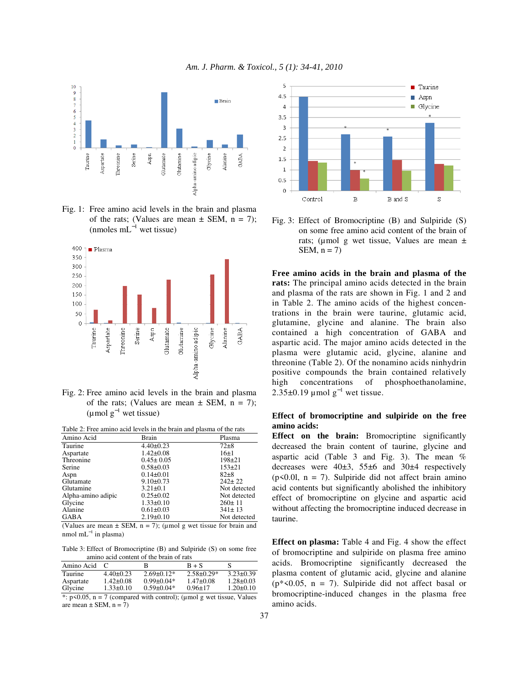

Fig. 1: Free amino acid levels in the brain and plasma of the rats; (Values are mean  $\pm$  SEM, n = 7);  $(mmoles mL^{-1}$  wet tissue)



Fig. 2: Free amino acid levels in the brain and plasma of the rats; (Values are mean  $\pm$  SEM, n = 7);  $(\mu \text{mol g}^{-1}$  wet tissue)

| Table 2: Free amino acid levels in the brain and plasma of the rats |                 |              |  |  |  |
|---------------------------------------------------------------------|-----------------|--------------|--|--|--|
| Amino Acid                                                          | Brain           | Plasma       |  |  |  |
| Taurine                                                             | $4.40 \pm 0.23$ | $72 + 8$     |  |  |  |
| Aspartate                                                           | $1.42 \pm 0.08$ | $16+1$       |  |  |  |
| Threonine                                                           | $0.45 \pm 0.05$ | $198 + 21$   |  |  |  |
| Serine                                                              | $0.58 \pm 0.03$ | $153 + 21$   |  |  |  |
| Aspn                                                                | $0.14 \pm 0.01$ | $82+8$       |  |  |  |
| Glutamate                                                           | $9.10 \pm 0.73$ | $242 \pm 22$ |  |  |  |
| Glutamine                                                           | $3.21 \pm 0.1$  | Not detected |  |  |  |
| Alpha-amino adipic                                                  | $0.25 \pm 0.02$ | Not detected |  |  |  |
| Glycine                                                             | $1.33 \pm 0.10$ | $260 \pm 11$ |  |  |  |
| Alanine                                                             | $0.61 \pm 0.03$ | $341 \pm 13$ |  |  |  |
| GABA                                                                | $2.19 \pm 0.10$ | Not detected |  |  |  |

(Values are mean  $\pm$  SEM, n = 7); (umol g wet tissue for brain and nmol mL<sup>-1</sup> in plasma)

Table 3: Effect of Bromocriptine (B) and Sulpiride (S) on some free amino acid content of the brain of rats

| Amino Acid | $\sqrt{ }$      | в                                                                                                                 | $B + S$         | S               |
|------------|-----------------|-------------------------------------------------------------------------------------------------------------------|-----------------|-----------------|
| Taurine    | $4.40\pm0.23$   | $2.69\pm0.12*$                                                                                                    | $2.58\pm0.29*$  | $3.23 \pm 0.39$ |
| Aspartate  | $1.42 \pm 0.08$ | $0.99 \pm 0.04*$                                                                                                  | $1.47 \pm 0.08$ | $1.28 \pm 0.03$ |
| Glycine    | $1.33 \pm 0.10$ | $0.59 \pm 0.04*$                                                                                                  | $0.96 \pm 17$   | $1.20 \pm 0.10$ |
|            |                 | $\pm$ , $\pm$ 60.05 $\pm$ 7 (- $\pm$ 0.05 $\pm$ 1.14 $\pm$ 0.05 $\pm$ 0.05 $\pm$ 0.05 $\pm$ 1.05 $\pm$ 1.15 $\pm$ |                 |                 |

\*:  $p$ <0.05,  $n = 7$  (compared with control); (µmol g wet tissue, Values are mean  $\pm$  SEM, n = 7)



Fig. 3: Effect of Bromocriptine (B) and Sulpiride (S) on some free amino acid content of the brain of rats; ( $\mu$ mol g wet tissue, Values are mean  $\pm$ SEM,  $n = 7$ )

**Free amino acids in the brain and plasma of the rats:** The principal amino acids detected in the brain and plasma of the rats are shown in Fig. 1 and 2 and in Table 2. The amino acids of the highest concentrations in the brain were taurine, glutamic acid, glutamine, glycine and alanine. The brain also contained a high concentration of GABA and aspartic acid. The major amino acids detected in the plasma were glutamic acid, glycine, alanine and threonine (Table 2). Of the nonamino acids ninhydrin positive compounds the brain contained relatively high concentrations of phosphoethanolamine, 2.35±0.19 µmol  $g^{-1}$  wet tissue.

### **Effect of bromocriptine and sulpiride on the free amino acids:**

**Effect on the brain:** Bromocriptine significantly decreased the brain content of taurine, glycine and aspartic acid (Table 3 and Fig. 3). The mean % decreases were 40±3, 55±6 and 30±4 respectively  $(p<0.01$ ,  $n = 7)$ . Sulpiride did not affect brain amino acid contents but significantly abolished the inhibitory effect of bromocriptine on glycine and aspartic acid without affecting the bromocriptine induced decrease in taurine.

**Effect on plasma:** Table 4 and Fig. 4 show the effect of bromocriptine and sulpiride on plasma free amino acids. Bromocriptine significantly decreased the plasma content of glutamic acid, glycine and alanine  $(p*<0.05, n = 7)$ . Sulpiride did not affect basal or bromocriptine-induced changes in the plasma free amino acids.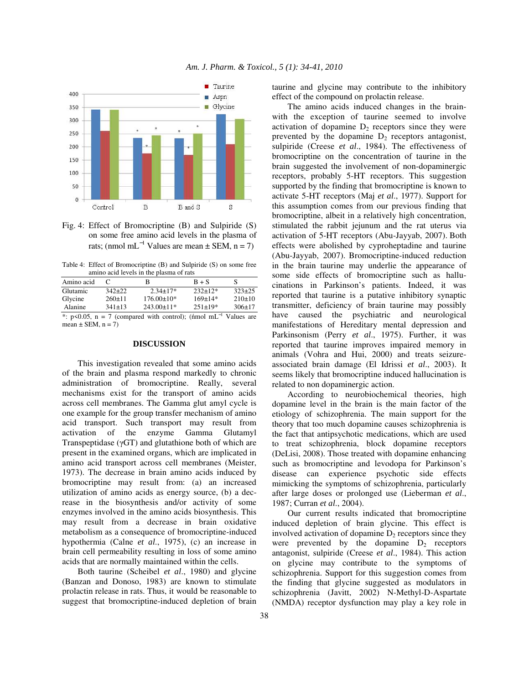

Fig. 4: Effect of Bromocriptine (B) and Sulpiride (S) on some free amino acid levels in the plasma of rats; (nmol mL<sup>-1</sup> Values are mean  $\pm$  SEM, n = 7)

Table 4: Effect of Bromocriptine (B) and Sulpiride (S) on some free amino acid levels in the plasma of rats

| Amino acid                                                                  |              |                  | $B + S$        | S            |  |  |
|-----------------------------------------------------------------------------|--------------|------------------|----------------|--------------|--|--|
| Glutamic                                                                    | $342+22$     | $2.34 \pm 17*$   | $232 \pm 12*$  | $323+25$     |  |  |
| Glycine                                                                     | $260 \pm 11$ | $176.00 \pm 10*$ | $169 \pm 14*$  | 210±10       |  |  |
| Alanine                                                                     | $341 \pm 13$ | $243.00 \pm 11*$ | $251 \pm 19$ * | $306 \pm 17$ |  |  |
| *: p<0.05, n = 7 (compared with control); (nmol mL <sup>-1</sup> Values are |              |                  |                |              |  |  |

 Values are mean  $\pm$  SEM, n = 7)

#### **DISCUSSION**

 This investigation revealed that some amino acids of the brain and plasma respond markedly to chronic administration of bromocriptine. Really, several mechanisms exist for the transport of amino acids across cell membranes. The Gamma glut amyl cycle is one example for the group transfer mechanism of amino acid transport. Such transport may result from activation of the enzyme Gamma Glutamyl Transpeptidase ( $\gamma$ GT) and glutathione both of which are present in the examined organs, which are implicated in amino acid transport across cell membranes (Meister, 1973). The decrease in brain amino acids induced by bromocriptine may result from: (a) an increased utilization of amino acids as energy source, (b) a decrease in the biosynthesis and/or activity of some enzymes involved in the amino acids biosynthesis. This may result from a decrease in brain oxidative metabolism as a consequence of bromocriptine-induced hypothermia (Calne *et al*., 1975), (c) an increase in brain cell permeability resulting in loss of some amino acids that are normally maintained within the cells.

 Both taurine (Scheibel *et al*., 1980) and glycine (Banzan and Donoso, 1983) are known to stimulate prolactin release in rats. Thus, it would be reasonable to suggest that bromocriptine-induced depletion of brain taurine and glycine may contribute to the inhibitory effect of the compound on prolactin release.

 The amino acids induced changes in the brainwith the exception of taurine seemed to involve activation of dopamine  $D_2$  receptors since they were prevented by the dopamine  $D_2$  receptors antagonist, sulpiride (Creese *et al*., 1984). The effectiveness of bromocriptine on the concentration of taurine in the brain suggested the involvement of non-dopaminergic receptors, probably 5-HT receptors. This suggestion supported by the finding that bromocriptine is known to activate 5-HT receptors (Maj *et al*., 1977). Support for this assumption comes from our previous finding that bromocriptine, albeit in a relatively high concentration, stimulated the rabbit jejunum and the rat uterus via activation of 5-HT receptors (Abu-Jayyab, 2007). Both effects were abolished by cyproheptadine and taurine (Abu-Jayyab, 2007). Bromocriptine-induced reduction in the brain taurine may underlie the appearance of some side effects of bromocriptine such as hallucinations in Parkinson's patients. Indeed, it was reported that taurine is a putative inhibitory synaptic transmitter, deficiency of brain taurine may possibly have caused the psychiatric and neurological manifestations of Hereditary mental depression and Parkinsonism (Perry *et al*., 1975). Further, it was reported that taurine improves impaired memory in animals (Vohra and Hui, 2000) and treats seizureassociated brain damage (El Idrissi *et al*., 2003). It seems likely that bromocriptine induced hallucination is related to non dopaminergic action.

 According to neurobiochemical theories, high dopamine level in the brain is the main factor of the etiology of schizophrenia. The main support for the theory that too much dopamine causes schizophrenia is the fact that antipsychotic medications, which are used to treat schizophrenia, block dopamine receptors (DeLisi, 2008). Those treated with dopamine enhancing such as bromocriptine and levodopa for Parkinson's disease can experience psychotic side effects mimicking the symptoms of schizophrenia, particularly after large doses or prolonged use (Lieberman *et al*., 1987; Curran *et al*., 2004).

 Our current results indicated that bromocriptine induced depletion of brain glycine. This effect is involved activation of dopamine  $D_2$  receptors since they were prevented by the dopamine  $D_2$  receptors antagonist, sulpiride (Creese *et al*., 1984). This action on glycine may contribute to the symptoms of schizophrenia. Support for this suggestion comes from the finding that glycine suggested as modulators in schizophrenia (Javitt, 2002) N-Methyl-D-Aspartate (NMDA) receptor dysfunction may play a key role in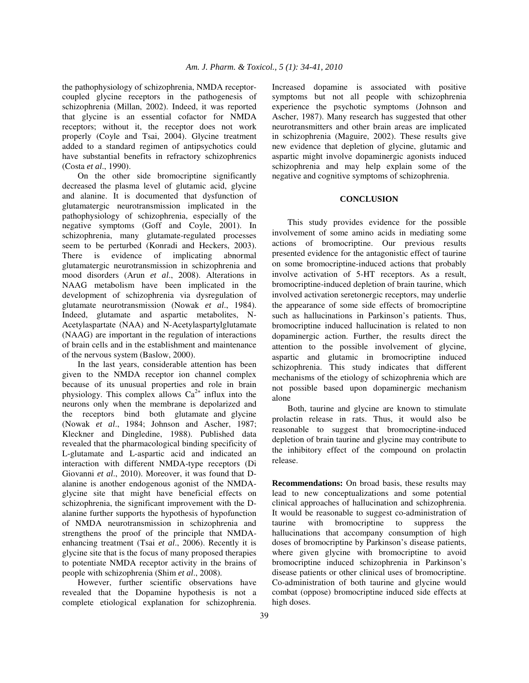the pathophysiology of schizophrenia, NMDA receptorcoupled glycine receptors in the pathogenesis of schizophrenia (Millan, 2002). Indeed, it was reported that glycine is an essential cofactor for NMDA receptors; without it, the receptor does not work properly (Coyle and Tsai, 2004). Glycine treatment added to a standard regimen of antipsychotics could have substantial benefits in refractory schizophrenics (Costa *et al*., 1990).

 On the other side bromocriptine significantly decreased the plasma level of glutamic acid, glycine and alanine. It is documented that dysfunction of glutamatergic neurotransmission implicated in the pathophysiology of schizophrenia, especially of the negative symptoms (Goff and Coyle, 2001). In schizophrenia, many glutamate-regulated processes seem to be perturbed (Konradi and Heckers, 2003). There is evidence of implicating abnormal glutamatergic neurotransmission in schizophrenia and mood disorders (Arun *et al*., 2008). Alterations in NAAG metabolism have been implicated in the development of schizophrenia via dysregulation of glutamate neurotransmission (Nowak *et al*., 1984). Indeed, glutamate and aspartic metabolites, N-Acetylaspartate (NAA) and N-Acetylaspartylglutamate (NAAG) are important in the regulation of interactions of brain cells and in the establishment and maintenance of the nervous system (Baslow, 2000).

 In the last years, considerable attention has been given to the NMDA receptor ion channel complex because of its unusual properties and role in brain physiology. This complex allows  $Ca^{2+}$  influx into the neurons only when the membrane is depolarized and the receptors bind both glutamate and glycine (Nowak *et al*., 1984; Johnson and Ascher, 1987; Kleckner and Dingledine, 1988). Published data revealed that the pharmacological binding specificity of L-glutamate and L-aspartic acid and indicated an interaction with different NMDA-type receptors (Di Giovanni *et al*., 2010). Moreover, it was found that Dalanine is another endogenous agonist of the NMDAglycine site that might have beneficial effects on schizophrenia, the significant improvement with the Dalanine further supports the hypothesis of hypofunction of NMDA neurotransmission in schizophrenia and strengthens the proof of the principle that NMDAenhancing treatment (Tsai *et al*., 2006). Recently it is glycine site that is the focus of many proposed therapies to potentiate NMDA receptor activity in the brains of people with schizophrenia (Shim *et al*., 2008).

 However, further scientific observations have revealed that the Dopamine hypothesis is not a complete etiological explanation for schizophrenia. Increased dopamine is associated with positive symptoms but not all people with schizophrenia experience the psychotic symptoms (Johnson and Ascher, 1987). Many research has suggested that other neurotransmitters and other brain areas are implicated in schizophrenia (Maguire, 2002). These results give new evidence that depletion of glycine, glutamic and aspartic might involve dopaminergic agonists induced schizophrenia and may help explain some of the negative and cognitive symptoms of schizophrenia.

## **CONCLUSION**

 This study provides evidence for the possible involvement of some amino acids in mediating some actions of bromocriptine. Our previous results presented evidence for the antagonistic effect of taurine on some bromocriptine-induced actions that probably involve activation of 5-HT receptors. As a result, bromocriptine-induced depletion of brain taurine, which involved activation seretonergic receptors, may underlie the appearance of some side effects of bromocriptine such as hallucinations in Parkinson's patients. Thus, bromocriptine induced hallucination is related to non dopaminergic action. Further, the results direct the attention to the possible involvement of glycine, aspartic and glutamic in bromocriptine induced schizophrenia. This study indicates that different mechanisms of the etiology of schizophrenia which are not possible based upon dopaminergic mechanism alone

 Both, taurine and glycine are known to stimulate prolactin release in rats. Thus, it would also be reasonable to suggest that bromocriptine-induced depletion of brain taurine and glycine may contribute to the inhibitory effect of the compound on prolactin release.

**Recommendations:** On broad basis, these results may lead to new conceptualizations and some potential clinical approaches of hallucination and schizophrenia. It would be reasonable to suggest co-administration of taurine with bromocriptine to suppress the hallucinations that accompany consumption of high doses of bromocriptine by Parkinson's disease patients, where given glycine with bromocriptine to avoid bromocriptine induced schizophrenia in Parkinson's disease patients or other clinical uses of bromocriptine. Co-administration of both taurine and glycine would combat (oppose) bromocriptine induced side effects at high doses.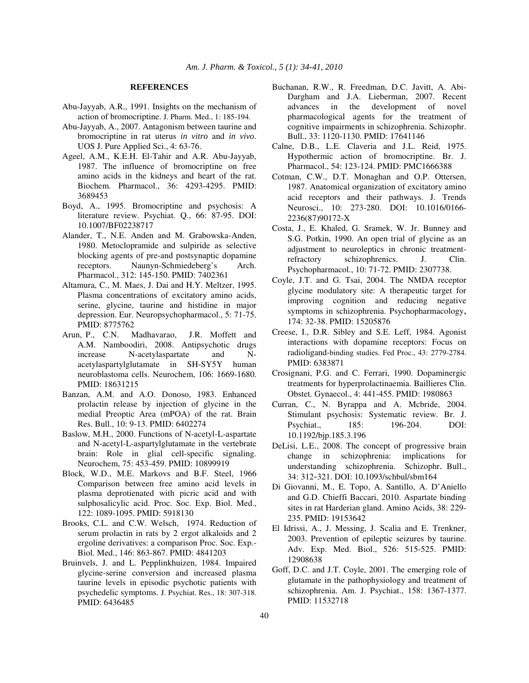#### **REFERENCES**

- Abu-Jayyab, A.R., 1991. Insights on the mechanism of action of bromocriptine. J. Pharm. Med., 1: 185-194.
- Abu-Jayyab, A., 2007. Antagonism between taurine and bromocriptine in rat uterus *in vitro* and *in vivo*. UOS J. Pure Applied Sci., 4: 63-76.
- Ageel, A.M., K.E.H. El-Tahir and A.R. Abu-Jayyab, 1987. The influence of bromocriptine on free amino acids in the kidneys and heart of the rat. Biochem. Pharmacol., 36: 4293-4295. PMID: 3689453
- Boyd, A., 1995. Bromocriptine and psychosis: A literature review. Psychiat. Q., 66: 87-95. DOI: 10.1007/BF02238717
- Alander, T., N.E. Anden and M. Grabowska-Anden, 1980. Metoclopramide and sulpiride as selective blocking agents of pre-and postsynaptic dopamine receptors. Naunyn-Schmiedeberg's Arch. Pharmacol., 312: 145-150. PMID: 7402361
- Altamura, C., M. Maes, J. Dai and H.Y. Meltzer, 1995. Plasma concentrations of excitatory amino acids, serine, glycine, taurine and histidine in major depression. Eur. Neuropsychopharmacol., 5: 71-75. PMID: 8775762
- Arun, P., C.N. Madhavarao, J.R. Moffett and A.M. Namboodiri, 2008. Antipsychotic drugs increase N-acetylaspartate and Nacetylaspartylglutamate in SH-SY5Y human neuroblastoma cells. Neurochem, 106: 1669-1680. PMID: 18631215
- Banzan, A.M. and A.O. Donoso, 1983. Enhanced prolactin release by injection of glycine in the medial Preoptic Area (mPOA) of the rat. Brain Res. Bull., 10: 9-13. PMID: 6402274
- Baslow, M.H., 2000. Functions of N-acetyl-L-aspartate and N-acetyl-L-aspartylglutamate in the vertebrate brain: Role in glial cell-specific signaling. Neurochem, 75: 453-459. PMID: 10899919
- Block, W.D., M.E. Markovs and B.F. Steel, 1966 Comparison between free amino acid levels in plasma deprotienated with picric acid and with sulphosalicylic acid. Proc. Soc. Exp. Biol. Med., 122: 1089-1095. PMID: 5918130
- Brooks, C.L. and C.W. Welsch, 1974. Reduction of serum prolactin in rats by 2 ergot alkaloids and 2 ergoline derivatives: a comparison Proc. Soc. Exp.- Biol. Med., 146: 863-867. PMID: 4841203
- Bruinvels, J. and L. Pepplinkhuizen, 1984. Impaired glycine-serine conversion and increased plasma taurine levels in episodic psychotic patients with psychedelic symptoms. J. Psychiat. Res., 18: 307-318. PMID: 6436485
- Buchanan, R.W., R. Freedman, D.C. Javitt, A. Abi-Dargham and J.A. Lieberman, 2007. Recent advances in the development of novel pharmacological agents for the treatment of cognitive impairments in schizophrenia. Schizophr. Bull., 33: 1120-1130. PMID: 17641146
- Calne, D.B., L.E. Claveria and J.L. Reid, 1975. Hypothermic action of bromocriptine. Br. J. Pharmacol., 54: 123-124. PMID: PMC1666388
- Cotman, C.W., D.T. Monaghan and O.P. Ottersen, 1987. Anatomical organization of excitatory amino acid receptors and their pathways. J. Trends Neurosci., 10: 273-280. DOI: 10.1016/0166- 2236(87)90172-X
- Costa, J., E. Khaled, G. Sramek, W. Jr. Bunney and S.G. Potkin, 1990. An open trial of glycine as an adjustment to neuroleptics in chronic treatmentrefractory schizophrenics. J. Clin. Psychopharmacol., 10: 71-72. PMID: 2307738.
- Coyle, J.T. and G. Tsai, 2004. The NMDA receptor glycine modulatory site: A therapeutic target for improving cognition and reducing negative symptoms in schizophrenia. Psychopharmacology, 174: 32-38. PMID: 15205876
- Creese, I., D.R. Sibley and S.E. Leff, 1984. Agonist interactions with dopamine receptors: Focus on radioligand-binding studies. Fed Proc., 43: 2779-2784. PMID: 6383871
- Crosignani, P.G. and C. Ferrari, 1990. Dopaminergic treatments for hyperprolactinaemia. Baillieres Clin. Obstet. Gynaecol., 4: 441-455. PMID: 1980863
- Curran, C., N. Byrappa and A. Mcbride, 2004. Stimulant psychosis: Systematic review. Br. J. Psychiat., 185: 196-204. DOI: 10.1192/bjp.185.3.196
- DeLisi, L.E., 2008. The concept of progressive brain change in schizophrenia: implications for understanding schizophrenia. Schizophr. Bull., 34: 312-321. DOI: 10.1093/schbul/sbm164
- Di Giovanni, M., E. Topo, A. Santillo, A. D'Aniello and G.D. Chieffi Baccari, 2010. Aspartate binding sites in rat Harderian gland. Amino Acids, 38: 229- 235. PMID: 19153642
- El Idrissi, A., J. Messing, J. Scalia and E. Trenkner, 2003. Prevention of epileptic seizures by taurine. Adv. Exp. Med. Biol., 526: 515-525. PMID: 12908638
- Goff, D.C. and J.T. Coyle, 2001. The emerging role of glutamate in the pathophysiology and treatment of schizophrenia. Am. J. Psychiat., 158: 1367-1377. PMID: 11532718